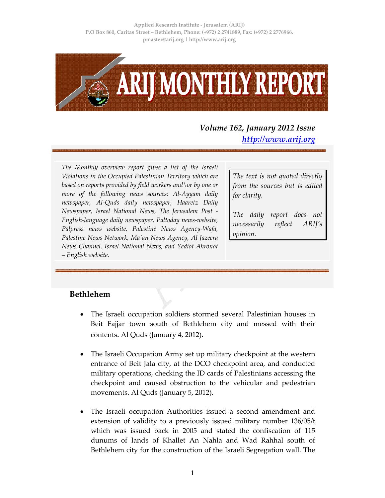

# *Volume 162, January 2012 Issue http://www.arij.org*

*The Monthly overview report gives a list of the Israeli Violations in the Occupied Palestinian Territory which are based on reports provided by field workers and\or by one or more of the following news sources: Al‐Ayyam daily newspaper, Al‐Quds daily newspaper, Haaretz Daily Newspaper, Israel National News, The Jerusalem Post ‐ English‐language daily newspaper, Paltoday news‐website, Palpress news website, Palestine News Agency‐Wafa, Palestine News Network, Maʹan News Agency, Al Jazeera News Channel, Israel National News, and Yediot Ahronot – English website.*

*The text is not quoted directly from the sources but is edited for clarity.*

*The daily report does not necessarily reflect ARIJ's opinion.*

## **Bethlehem**

- The Israeli occupation soldiers stormed several Palestinian houses in Beit Fajjar town south of Bethlehem city and messed with their contents. Al Quds (January 4, 2012).
- The Israeli Occupation Army set up military checkpoint at the western entrance of Beit Jala city, at the DCO checkpoint area, and conducted military operations, checking the ID cards of Palestinians accessing the checkpoint and caused obstruction to the vehicular and pedestrian movements. Al Quds (January 5, 2012).
- The Israeli occupation Authorities issued a second amendment and extension of validity to a previously issued military number 136/05/t which was issued back in 2005 and stated the confiscation of 115 dunums of lands of Khallet An Nahla and Wad Rahhal south of Bethlehem city for the construction of the Israeli Segregation wall. The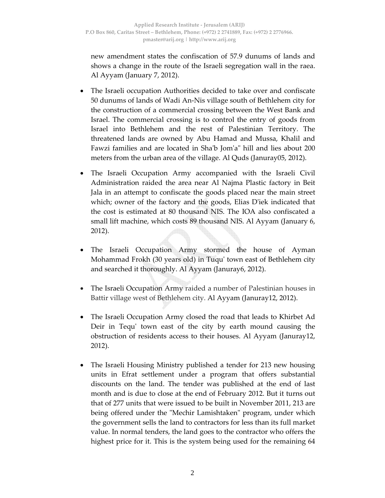new amendment states the confiscation of 57.9 dunums of lands and shows a change in the route of the Israeli segregation wall in the raea. Al Ayyam (January 7, 2012).

- The Israeli occupation Authorities decided to take over and confiscate 50 dunums of lands of Wadi An‐Nis village south of Bethlehem city for the construction of a commercial crossing between the West Bank and Israel. The commercial crossing is to control the entry of goods from Israel into Bethlehem and the rest of Palestinian Territory. The threatened lands are owned by Abu Hamad and Mussa, Khalil and Fawzi families and are located in Shaʹb Jomʹaʺ hill and lies about 200 meters from the urban area of the village. Al Quds (Januray05, 2012).
- The Israeli Occupation Army accompanied with the Israeli Civil Administration raided the area near Al Najma Plastic factory in Beit Jala in an attempt to confiscate the goods placed near the main street which; owner of the factory and the goods, Elias Dʹiek indicated that the cost is estimated at 80 thousand NIS. The IOA also confiscated a small lift machine, which costs 89 thousand NIS. Al Ayyam (January 6, 2012).
- The Israeli Occupation Army stormed the house of Ayman Mohammad Frokh (30 years old) in Tuqu' town east of Bethlehem city and searched it thoroughly. Al Ayyam (Januray6, 2012).
- The Israeli Occupation Army raided a number of Palestinian houses in Battir village west of Bethlehem city. Al Ayyam (Januray12, 2012).
- The Israeli Occupation Army closed the road that leads to Khirbet Ad Deir in Tequʹ town east of the city by earth mound causing the obstruction of residents access to their houses. Al Ayyam (Januray12, 2012).
- The Israeli Housing Ministry published a tender for 213 new housing units in Efrat settlement under a program that offers substantial discounts on the land. The tender was published at the end of last month and is due to close at the end of February 2012. But it turns out that of 277 units that were issued to be built in November 2011, 213 are being offered under the "Mechir Lamishtaken" program, under which the government sells the land to contractors for less than its full market value. In normal tenders, the land goes to the contractor who offers the highest price for it. This is the system being used for the remaining 64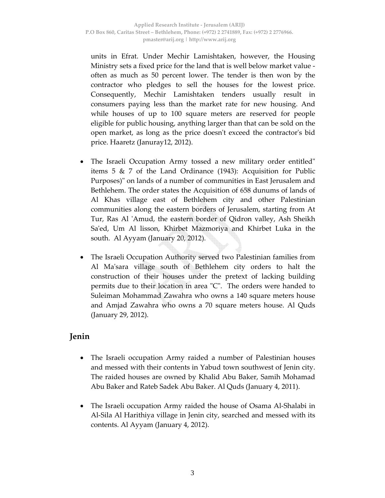units in Efrat. Under Mechir Lamishtaken, however, the Housing Ministry sets a fixed price for the land that is well below market value ‐ often as much as 50 percent lower. The tender is then won by the contractor who pledges to sell the houses for the lowest price. Consequently, Mechir Lamishtaken tenders usually result in consumers paying less than the market rate for new housing. And while houses of up to 100 square meters are reserved for people eligible for public housing, anything larger than that can be sold on the open market, as long as the price doesnʹt exceed the contractorʹs bid price. Haaretz (Januray12, 2012).

- The Israeli Occupation Army tossed a new military order entitled items 5 & 7 of the Land Ordinance (1943): Acquisition for Public Purposes)" on lands of a number of communities in East Jerusalem and Bethlehem. The order states the Acquisition of 658 dunums of lands of Al Khas village east of Bethlehem city and other Palestinian communities along the eastern borders of Jerusalem, starting from At Tur, Ras Al ʹAmud, the eastern border of Qidron valley, Ash Sheikh Sa'ed, Um Al lisson, Khirbet Mazmoriya and Khirbet Luka in the south. Al Ayyam (January 20, 2012).
- The Israeli Occupation Authority served two Palestinian families from Al Maʹsara village south of Bethlehem city orders to halt the construction of their houses under the pretext of lacking building permits due to their location in area "C". The orders were handed to Suleiman Mohammad Zawahra who owns a 140 square meters house and Amjad Zawahra who owns a 70 square meters house. Al Quds (January 29, 2012).

## **Jenin**

- The Israeli occupation Army raided a number of Palestinian houses and messed with their contents in Yabud town southwest of Jenin city. The raided houses are owned by Khalid Abu Baker, Samih Mohamad Abu Baker and Rateb Sadek Abu Baker. Al Quds (January 4, 2011).
- The Israeli occupation Army raided the house of Osama Al‐Shalabi in Al‐Sila Al Harithiya village in Jenin city, searched and messed with its contents. Al Ayyam (January 4, 2012).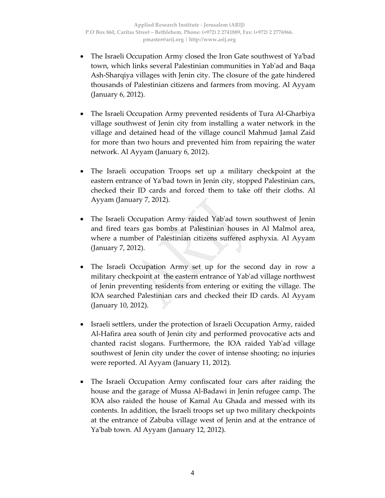- The Israeli Occupation Army closed the Iron Gate southwest of Yaʹbad town, which links several Palestinian communities in Yabʹad and Baqa Ash‐Sharqiya villages with Jenin city. The closure of the gate hindered thousands of Palestinian citizens and farmers from moving. Al Ayyam (January 6, 2012).
- The Israeli Occupation Army prevented residents of Tura Al‐Gharbiya village southwest of Jenin city from installing a water network in the village and detained head of the village council Mahmud Jamal Zaid for more than two hours and prevented him from repairing the water network. Al Ayyam (January 6, 2012).
- The Israeli occupation Troops set up a military checkpoint at the eastern entrance of Ya'bad town in Jenin city, stopped Palestinian cars, checked their ID cards and forced them to take off their cloths. Al Ayyam (January 7, 2012).
- The Israeli Occupation Army raided Yab'ad town southwest of Jenin and fired tears gas bombs at Palestinian houses in Al Malmol area, where a number of Palestinian citizens suffered asphyxia. Al Ayyam (January 7, 2012).
- The Israeli Occupation Army set up for the second day in row a military checkpoint at the eastern entrance of Yabʹad village northwest of Jenin preventing residents from entering or exiting the village. The IOA searched Palestinian cars and checked their ID cards. Al Ayyam (January 10, 2012).
- Israeli settlers, under the protection of Israeli Occupation Army, raided Al‐Hafira area south of Jenin city and performed provocative acts and chanted racist slogans. Furthermore, the IOA raided Yabʹad village southwest of Jenin city under the cover of intense shooting; no injuries were reported. Al Ayyam (January 11, 2012).
- The Israeli Occupation Army confiscated four cars after raiding the house and the garage of Mussa Al‐Badawi in Jenin refugee camp. The IOA also raided the house of Kamal Au Ghada and messed with its contents. In addition, the Israeli troops set up two military checkpoints at the entrance of Zabuba village west of Jenin and at the entrance of Yaʹbab town. Al Ayyam (January 12, 2012).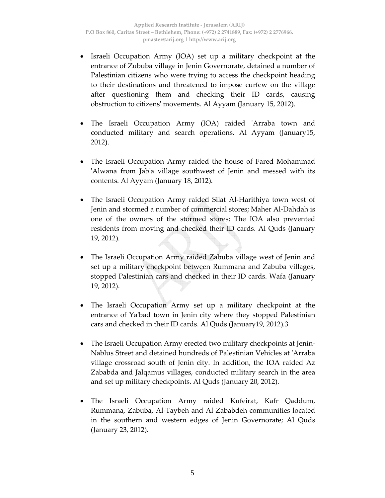- Israeli Occupation Army (IOA) set up a military checkpoint at the entrance of Zububa village in Jenin Governorate, detained a number of Palestinian citizens who were trying to access the checkpoint heading to their destinations and threatened to impose curfew on the village after questioning them and checking their ID cards, causing obstruction to citizensʹ movements. Al Ayyam (January 15, 2012).
- The Israeli Occupation Army (IOA) raided 'Arraba town and conducted military and search operations. Al Ayyam (January15, 2012).
- The Israeli Occupation Army raided the house of Fared Mohammad ʹAlwana from Jabʹa village southwest of Jenin and messed with its contents. Al Ayyam (January 18, 2012).
- The Israeli Occupation Army raided Silat Al‐Harithiya town west of Jenin and stormed a number of commercial stores; Maher Al‐Dahdah is one of the owners of the stormed stores; The IOA also prevented residents from moving and checked their ID cards. Al Quds (January 19, 2012).
- The Israeli Occupation Army raided Zabuba village west of Jenin and set up a military checkpoint between Rummana and Zabuba villages, stopped Palestinian cars and checked in their ID cards. Wafa (January 19, 2012).
- The Israeli Occupation Army set up a military checkpoint at the entrance of Yaʹbad town in Jenin city where they stopped Palestinian cars and checked in their ID cards. Al Quds (January19, 2012).3
- The Israeli Occupation Army erected two military checkpoints at Jenin-Nablus Street and detained hundreds of Palestinian Vehicles at ʹArraba village crossroad south of Jenin city. In addition, the IOA raided Az Zababda and Jalqamus villages, conducted military search in the area and set up military checkpoints. Al Quds (January 20, 2012).
- The Israeli Occupation Army raided Kufeirat, Kafr Qaddum, Rummana, Zabuba, Al‐Taybeh and Al Zababdeh communities located in the southern and western edges of Jenin Governorate; Al Quds (January 23, 2012).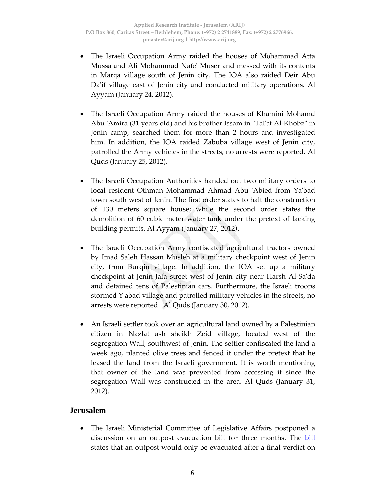- The Israeli Occupation Army raided the houses of Mohammad Atta Mussa and Ali Mohammad Nafeʹ Muser and messed with its contents in Marqa village south of Jenin city. The IOA also raided Deir Abu Da'if village east of Jenin city and conducted military operations. Al Ayyam (January 24, 2012).
- The Israeli Occupation Army raided the houses of Khamini Mohamd Abu 'Amira (31 years old) and his brother Issam in "Tal'at Al-Khobz" in Jenin camp, searched them for more than 2 hours and investigated him. In addition, the IOA raided Zabuba village west of Jenin city, patrolled the Army vehicles in the streets, no arrests were reported. Al Quds (January 25, 2012).
- The Israeli Occupation Authorities handed out two military orders to local resident Othman Mohammad Ahmad Abu ʹAbied from Yaʹbad town south west of Jenin. The first order states to halt the construction of 130 meters square house; while the second order states the demolition of 60 cubic meter water tank under the pretext of lacking building permits. Al Ayyam (January 27, 2012**).**
- The Israeli Occupation Army confiscated agricultural tractors owned by Imad Saleh Hassan Musleh at a military checkpoint west of Jenin city, from Burqin village. In addition, the IOA set up a military checkpoint at Jenin‐Jafa street west of Jenin city near Harsh Al‐Saʹda and detained tens of Palestinian cars. Furthermore, the Israeli troops stormed Yʹabad village and patrolled military vehicles in the streets, no arrests were reported. Al Quds (January 30, 2012).
- An Israeli settler took over an agricultural land owned by a Palestinian citizen in Nazlat ash sheikh Zeid village, located west of the segregation Wall, southwest of Jenin. The settler confiscated the land a week ago, planted olive trees and fenced it under the pretext that he leased the land from the Israeli government. It is worth mentioning that owner of the land was prevented from accessing it since the segregation Wall was constructed in the area. Al Quds (January 31, 2012).

#### **Jerusalem**

• The Israeli Ministerial Committee of Legislative Affairs postponed a discussion on an outpost evacuation bill for three months. The <u>bill</u> states that an outpost would only be evacuated after a final verdict on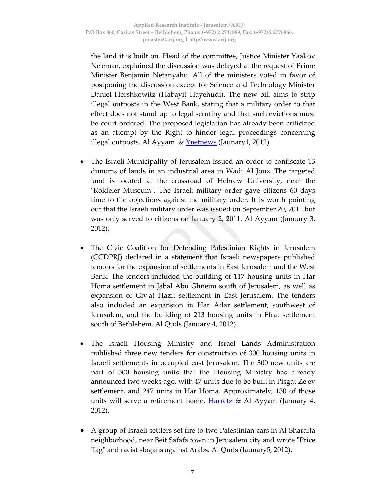the land it is built on. Head of the committee, Justice Minister Yaakov Ne'eman, explained the discussion was delayed at the request of Prime Minister Benjamin Netanyahu. All of the ministers voted in favor of postponing the discussion except for Science and Technology Minister Daniel Hershkowitz (Habayit Hayehudi). The new bill aims to strip illegal outposts in the West Bank, stating that a military order to that effect does not stand up to legal scrutiny and that such evictions must be court ordered. The proposed legislation has already been criticized as an attempt by the Right to hinder legal proceedings concerning illegal outposts. Al Ayyam  $\&$  <u>Ynetnews</u> (Jaunary1, 2012)

- The Israeli Municipality of Jerusalem issued an order to confiscate 13 dunums of lands in an industrial area in Wadi Al Jouz. The targeted land is located at the crossroad of Hebrew University, near the "Rokfeler Museum". The Israeli military order gave citizens 60 days time to file objections against the military order. It is worth pointing out that the Israeli military order was issued on September 20, 2011 but was only served to citizens on January 2, 2011. Al Ayyam (January 3, 2012).
- The Civic Coalition for Defending Palestinian Rights in Jerusalem (CCDPRJ) declared in a statement that Israeli newspapers published tenders for the expansion of settlements in East Jerusalem and the West Bank. The tenders included the building of 117 housing units in Har Homa settlement in Jabal Abu Ghneim south of Jerusalem, as well as expansion of Givʹat Hazit settlement in East Jerusalem. The tenders also included an expansion in Har Adar settlement, southwest of Jerusalem, and the building of 213 housing units in Efrat settlement south of Bethlehem. Al Quds (January 4, 2012).
- The Israeli Housing Ministry and Israel Lands Administration published three new tenders for construction of 300 housing units in Israeli settlements in occupied east Jerusalem. The 300 new units are part of 500 housing units that the Housing Ministry has already announced two weeks ago, with 47 units due to be built in Pisgat Zeʹev settlement, and 247 units in Har Homa. Approximately, 130 of those units will serve a retirement home. **Harretz** & Al Ayyam (January 4, 2012).
- A group of Israeli settlers set fire to two Palestinian cars in Al‐Sharafta neighborhood, near Beit Safafa town in Jerusalem city and wrote "Price" Tagʺ and racist slogans against Arabs. Al Quds (Jaunary5, 2012).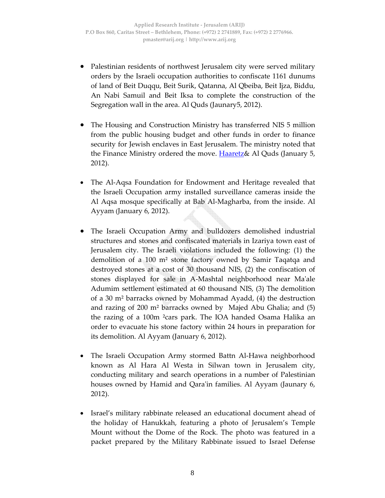- Palestinian residents of northwest Jerusalem city were served military orders by the Israeli occupation authorities to confiscate 1161 dunums of land of Beit Duqqu, Beit Surik, Qatanna, Al Qbeiba, Beit Ijza, Biddu, An Nabi Samuil and Beit Iksa to complete the construction of the Segregation wall in the area. Al Quds (Jaunary5, 2012).
- The Housing and Construction Ministry has transferred NIS 5 million from the public housing budget and other funds in order to finance security for Jewish enclaves in East Jerusalem. The ministry noted that the Finance Ministry ordered the move. Haaretz& Al Quds (January 5, 2012).
- The Al‐Aqsa Foundation for Endowment and Heritage revealed that the Israeli Occupation army installed surveillance cameras inside the Al Aqsa mosque specifically at Bab Al‐Magharba, from the inside. Al Ayyam (January 6, 2012).
- The Israeli Occupation Army and bulldozers demolished industrial structures and stones and confiscated materials in Izariya town east of Jerusalem city. The Israeli violations included the following: (1) the demolition of a 100 m² stone factory owned by Samir Taqatqa and destroyed stones at a cost of 30 thousand NIS, (2) the confiscation of stones displayed for sale in A‐Mashtal neighborhood near Maʹale Adumim settlement estimated at 60 thousand NIS, (3) The demolition of a 30 m² barracks owned by Mohammad Ayadd, (4) the destruction and razing of 200 m² barracks owned by Majed Abu Ghalia; and (5) the razing of a 100m ²cars park. The IOA handed Osama Halika an order to evacuate his stone factory within 24 hours in preparation for its demolition. Al Ayyam (January 6, 2012).
- The Israeli Occupation Army stormed Battn Al-Hawa neighborhood known as Al Hara Al Westa in Silwan town in Jerusalem city, conducting military and search operations in a number of Palestinian houses owned by Hamid and Qara'in families. Al Ayyam (Jaunary 6, 2012).
- Israel's military rabbinate released an educational document ahead of the holiday of Hanukkah, featuring a photo of Jerusalem's Temple Mount without the Dome of the Rock. The photo was featured in a packet prepared by the Military Rabbinate issued to Israel Defense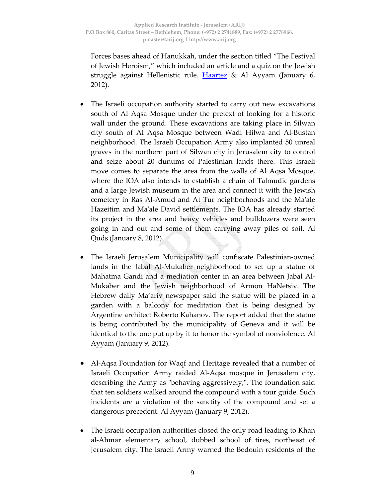Forces bases ahead of Hanukkah, under the section titled "The Festival of Jewish Heroism," which included an article and a quiz on the Jewish struggle against Hellenistic rule. Haartez & Al Ayyam (January 6, 2012).

- The Israeli occupation authority started to carry out new excavations south of Al Aqsa Mosque under the pretext of looking for a historic wall under the ground. These excavations are taking place in Silwan city south of Al Aqsa Mosque between Wadi Hilwa and Al‐Bustan neighborhood. The Israeli Occupation Army also implanted 50 unreal graves in the northern part of Silwan city in Jerusalem city to control and seize about 20 dunums of Palestinian lands there. This Israeli move comes to separate the area from the walls of Al Aqsa Mosque, where the IOA also intends to establish a chain of Talmudic gardens and a large Jewish museum in the area and connect it with the Jewish cemetery in Ras Al‐Amud and At Tur neighborhoods and the Maʹale Hazeitim and Maʹale David settlements. The IOA has already started its project in the area and heavy vehicles and bulldozers were seen going in and out and some of them carrying away piles of soil. Al Quds (January 8, 2012).
- The Israeli Jerusalem Municipality will confiscate Palestinian‐owned lands in the Jabal Al‐Mukaber neighborhood to set up a statue of Mahatma Gandi and a mediation center in an area between Jabal Al‐ Mukaber and the Jewish neighborhood of Armon HaNetsiv. The Hebrew daily Ma'ariv newspaper said the statue will be placed in a garden with a balcony for meditation that is being designed by Argentine architect Roberto Kahanov. The report added that the statue is being contributed by the municipality of Geneva and it will be identical to the one put up by it to honor the symbol of nonviolence. Al Ayyam (January 9, 2012).
- Al‐Aqsa Foundation for Waqf and Heritage revealed that a number of Israeli Occupation Army raided Al‐Aqsa mosque in Jerusalem city, describing the Army as "behaving aggressively,". The foundation said that ten soldiers walked around the compound with a tour guide. Such incidents are a violation of the sanctity of the compound and set a dangerous precedent. Al Ayyam (January 9, 2012).
- The Israeli occupation authorities closed the only road leading to Khan al‐Ahmar elementary school, dubbed school of tires, northeast of Jerusalem city. The Israeli Army warned the Bedouin residents of the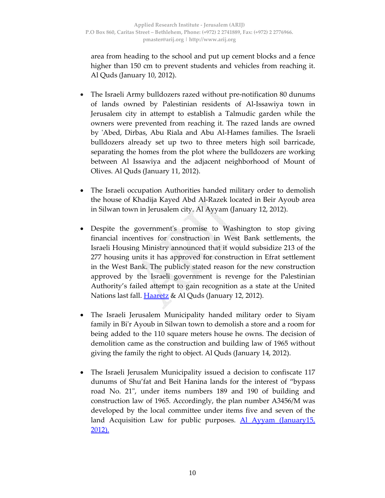area from heading to the school and put up cement blocks and a fence higher than 150 cm to prevent students and vehicles from reaching it. Al Quds (January 10, 2012).

- The Israeli Army bulldozers razed without pre‐notification 80 dunums of lands owned by Palestinian residents of Al‐Issawiya town in Jerusalem city in attempt to establish a Talmudic garden while the owners were prevented from reaching it. The razed lands are owned by ʹAbed, Dirbas, Abu Riala and Abu Al‐Hames families. The Israeli bulldozers already set up two to three meters high soil barricade, separating the homes from the plot where the bulldozers are working between Al Issawiya and the adjacent neighborhood of Mount of Olives. Al Quds (January 11, 2012).
- The Israeli occupation Authorities handed military order to demolish the house of Khadija Kayed Abd Al‐Razek located in Beir Ayoub area in Silwan town in Jerusalem city. Al Ayyam (January 12, 2012).
- Despite the government's promise to Washington to stop giving financial incentives for construction in West Bank settlements, the Israeli Housing Ministry announced that it would subsidize 213 of the 277 housing units it has approved for construction in Efrat settlement in the West Bank. The publicly stated reason for the new construction approved by the Israeli government is revenge for the Palestinian Authority's failed attempt to gain recognition as a state at the United Nations last fall. <u>Haaretz</u> & Al Quds (January 12*,* 2012).
- The Israeli Jerusalem Municipality handed military order to Siyam family in Biʹr Ayoub in Silwan town to demolish a store and a room for being added to the 110 square meters house he owns. The decision of demolition came as the construction and building law of 1965 without giving the family the right to object. Al Quds (January 14, 2012).
- The Israeli Jerusalem Municipality issued a decision to confiscate 117 dunums of Shu'fat and Beit Hanina lands for the interest of "bypass road No. 21ʺ, under items numbers 189 and 190 of building and construction law of 1965. Accordingly, the plan number A3456/M was developed by the local committee under items five and seven of the land Acquisition Law for public purposes. <u>Al Ayyam (January15,</u> 2012).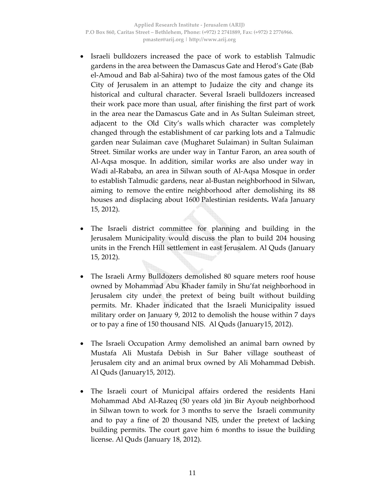- Israeli bulldozers increased the pace of work to establish Talmudic gardens in the area between the Damascus Gate and Herod's Gate (Bab el‐Amoud and Bab al‐Sahira) two of the most famous gates of the Old City of Jerusalem in an attempt to Judaize the city and change its historical and cultural character. Several Israeli bulldozers increased their work pace more than usual, after finishing the first part of work in the area near the Damascus Gate and in As Sultan Suleiman street, adjacent to the Old City's walls which character was completely changed through the establishment of car parking lots and a Talmudic garden near Sulaiman cave (Mugharet Sulaiman) in Sultan Sulaiman Street. Similar works are under way in Tantur Faron, an area south of Al‐Aqsa mosque. In addition, similar works are also under way in Wadi al‐Rababa, an area in Silwan south of Al‐Aqsa Mosque in order to establish Talmudic gardens, near al‐Bustan neighborhood in Silwan, aiming to remove the entire neighborhood after demolishing its 88 houses and displacing about 1600 Palestinian residents**.** Wafa January 15, 2012).
- The Israeli district committee for planning and building in the Jerusalem Municipality would discuss the plan to build 204 housing units in the French Hill settlement in east Jerusalem. Al Quds (January 15, 2012).
- The Israeli Army Bulldozers demolished 80 square meters roof house owned by Mohammad Abu Khader family in Shu'fat neighborhood in Jerusalem city under the pretext of being built without building permits. Mr. Khader indicated that the Israeli Municipality issued military order on January 9, 2012 to demolish the house within 7 days or to pay a fine of 150 thousand NIS. Al Quds (January15, 2012).
- The Israeli Occupation Army demolished an animal barn owned by Mustafa Ali Mustafa Debish in Sur Baher village southeast of Jerusalem city and an animal brux owned by Ali Mohammad Debish. Al Quds (January15, 2012).
- The Israeli court of Municipal affairs ordered the residents Hani Mohammad Abd Al‐Razeq (50 years old )in Bir Ayoub neighborhood in Silwan town to work for 3 months to serve the Israeli community and to pay a fine of 20 thousand NIS, under the pretext of lacking building permits. The court gave him 6 months to issue the building license. Al Quds (January 18, 2012).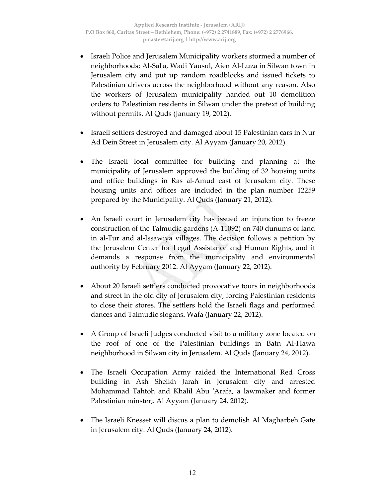- Israeli Police and Jerusalem Municipality workers stormed a number of neighborhoods; Al‐Salʹa, Wadi Yausul, Aien Al‐Luza in Silwan town in Jerusalem city and put up random roadblocks and issued tickets to Palestinian drivers across the neighborhood without any reason. Also the workers of Jerusalem municipality handed out 10 demolition orders to Palestinian residents in Silwan under the pretext of building without permits. Al Quds (January 19, 2012).
- Israeli settlers destroyed and damaged about 15 Palestinian cars in Nur Ad Dein Street in Jerusalem city. Al Ayyam (January 20, 2012).
- The Israeli local committee for building and planning at the municipality of Jerusalem approved the building of 32 housing units and office buildings in Ras al‐Amud east of Jerusalem city. These housing units and offices are included in the plan number 12259 prepared by the Municipality. Al Quds (January 21, 2012).
- An Israeli court in Jerusalem city has issued an injunction to freeze construction of the Talmudic gardens (A‐11092) on 740 dunums of land in al‐Tur and al‐Issawiya villages. The decision follows a petition by the Jerusalem Center for Legal Assistance and Human Rights, and it demands a response from the municipality and environmental authority by February 2012. Al Ayyam (January 22, 2012).
- About 20 Israeli settlers conducted provocative tours in neighborhoods and street in the old city of Jerusalem city, forcing Palestinian residents to close their stores. The settlers hold the Israeli flags and performed dances and Talmudic slogans**.** Wafa (January 22, 2012).
- A Group of Israeli Judges conducted visit to a military zone located on the roof of one of the Palestinian buildings in Batn Al‐Hawa neighborhood in Silwan city in Jerusalem. Al Quds (January 24, 2012).
- The Israeli Occupation Army raided the International Red Cross building in Ash Sheikh Jarah in Jerusalem city and arrested Mohammad Tahtoh and Khalil Abu ʹArafa, a lawmaker and former Palestinian minster;. Al Ayyam (January 24, 2012).
- The Israeli Knesset will discus a plan to demolish Al Magharbeh Gate in Jerusalem city. Al Quds (January 24, 2012).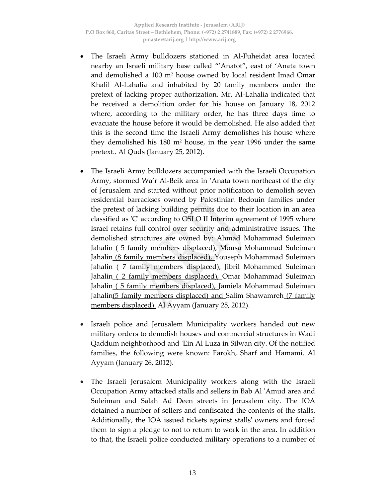- The Israeli Army bulldozers stationed in Al‐Fuheidat area located nearby an Israeli military base called "'Anatot", east of 'Anata town and demolished a 100 m<sup>2</sup> house owned by local resident Imad Omar Khalil Al‐Lahalia and inhabited by 20 family members under the pretext of lacking proper authorization. Mr. Al‐Lahalia indicated that he received a demolition order for his house on January 18, 2012 where, according to the military order, he has three days time to evacuate the house before it would be demolished. He also added that this is the second time the Israeli Army demolishes his house where they demolished his 180 m2 house, in the year 1996 under the same pretext.. Al Quds (January 25, 2012).
- The Israeli Army bulldozers accompanied with the Israeli Occupation Army, stormed Wa'r Al‐Beik area in 'Anata town northeast of the city of Jerusalem and started without prior notification to demolish seven residential barrackses owned by Palestinian Bedouin families under the pretext of lacking building permits due to their location in an area classified as ʹCʹ according to OSLO II Interim agreement of 1995 where Israel retains full control over security and administrative issues. The demolished structures are owned by: Ahmad Mohammad Suleiman Jahalin (5 family members displaced), Mousa Mohammad Suleiman Jahalin (8 family members displaced), Youseph Mohammad Suleiman Jahalin ( 7 family members displaced), Jibril Mohammed Suleiman Jahalin (2 family members displaced), Omar Mohammad Suleiman Jahalin ( 5 family members displaced), Jamiela Mohammad Suleiman Jahalin(5 family members displaced) and Salim Shawamreh (7 family members displaced). Al Ayyam (January 25, 2012).
- Israeli police and Jerusalem Municipality workers handed out new military orders to demolish houses and commercial structures in Wadi Qaddum neighborhood and ʹEin Al Luza in Silwan city. Of the notified families, the following were known: Farokh, Sharf and Hamami. Al Ayyam (January 26, 2012).
- The Israeli Jerusalem Municipality workers along with the Israeli Occupation Army attacked stalls and sellers in Bab Al ʹAmud area and Suleiman and Salah Ad Deen streets in Jerusalem city. The IOA detained a number of sellers and confiscated the contents of the stalls. Additionally, the IOA issued tickets against stallsʹ owners and forced them to sign a pledge to not to return to work in the area. In addition to that, the Israeli police conducted military operations to a number of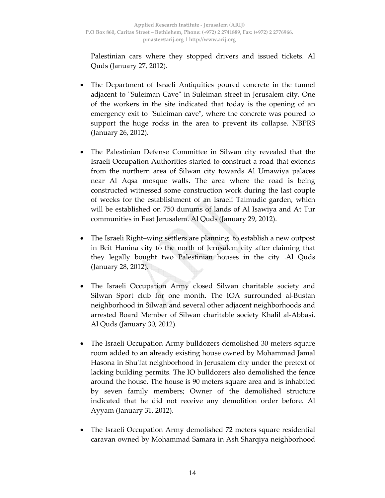Palestinian cars where they stopped drivers and issued tickets. Al Quds (January 27, 2012).

- The Department of Israeli Antiquities poured concrete in the tunnel adjacent to "Suleiman Cave" in Suleiman street in Jerusalem city. One of the workers in the site indicated that today is the opening of an emergency exit to "Suleiman cave", where the concrete was poured to support the huge rocks in the area to prevent its collapse. NBPRS (January 26, 2012).
- The Palestinian Defense Committee in Silwan city revealed that the Israeli Occupation Authorities started to construct a road that extends from the northern area of Silwan city towards Al Umawiya palaces near Al Aqsa mosque walls. The area where the road is being constructed witnessed some construction work during the last couple of weeks for the establishment of an Israeli Talmudic garden, which will be established on 750 dunums of lands of Al Isawiya and At Tur communities in East Jerusalem. Al Quds (January 29, 2012).
- The Israeli Right–wing settlers are planning to establish a new outpost in Beit Hanina city to the north of Jerusalem city after claiming that they legally bought two Palestinian houses in the city .Al Quds (January 28, 2012).
- The Israeli Occupation Army closed Silwan charitable society and Silwan Sport club for one month. The IOA surrounded al‐Bustan neighborhood in Silwan and several other adjacent neighborhoods and arrested Board Member of Silwan charitable society Khalil al‐Abbasi. Al Quds (January 30, 2012).
- The Israeli Occupation Army bulldozers demolished 30 meters square room added to an already existing house owned by Mohammad Jamal Hasona in Shu'fat neighborhood in Jerusalem city under the pretext of lacking building permits. The IO bulldozers also demolished the fence around the house. The house is 90 meters square area and is inhabited by seven family members; Owner of the demolished structure indicated that he did not receive any demolition order before. Al Ayyam (January 31, 2012).
- The Israeli Occupation Army demolished 72 meters square residential caravan owned by Mohammad Samara in Ash Sharqiya neighborhood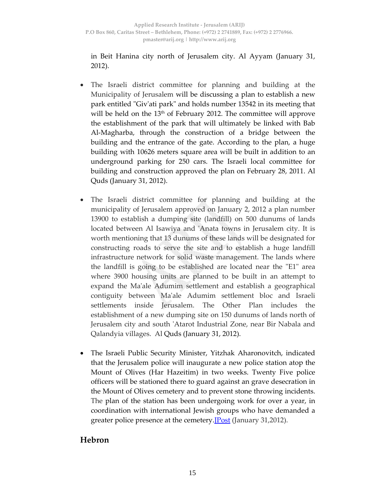in Beit Hanina city north of Jerusalem city. Al Ayyam (January 31, 2012).

- The Israeli district committee for planning and building at the Municipality of Jerusalem will be discussing a plan to establish a new park entitled "Giv'ati park" and holds number 13542 in its meeting that will be held on the 13<sup>th</sup> of February 2012. The committee will approve the establishment of the park that will ultimately be linked with Bab Al‐Magharba, through the construction of a bridge between the building and the entrance of the gate. According to the plan, a huge building with 10626 meters square area will be built in addition to an underground parking for 250 cars. The Israeli local committee for building and construction approved the plan on February 28, 2011. Al Quds (January 31, 2012).
- The Israeli district committee for planning and building at the municipality of Jerusalem approved on January 2, 2012 a plan number 13900 to establish a dumping site (landfill) on 500 dunums of lands located between Al Isawiya and ʹAnata towns in Jerusalem city. It is worth mentioning that 13 dunums of these lands will be designated for constructing roads to serve the site and to establish a huge landfill infrastructure network for solid waste management. The lands where the landfill is going to be established are located near the "E1" area where 3900 housing units are planned to be built in an attempt to expand the Maʹale Adumim settlement and establish a geographical contiguity between Maʹale Adumim settlement bloc and Israeli settlements inside Jerusalem. The Other Plan includes the establishment of a new dumping site on 150 dunums of lands north of Jerusalem city and south ʹAtarot Industrial Zone, near Bir Nabala and Qalandyia villages. Al Quds (January 31, 2012).
- The Israeli Public Security Minister, Yitzhak Aharonovitch, indicated that the Jerusalem police will inaugurate a new police station atop the Mount of Olives (Har Hazeitim) in two weeks. Twenty Five police officers will be stationed there to guard against an grave desecration in the Mount of Olives cemetery and to prevent stone throwing incidents. The plan of the station has been undergoing work for over a year, in coordination with international Jewish groups who have demanded a greater police presence at the cemetery.<u>JPost</u> (January 31,2012).

## **Hebron**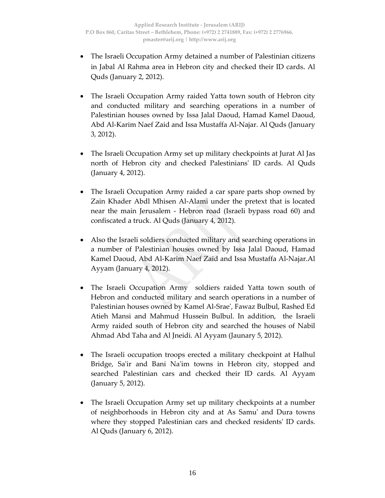- The Israeli Occupation Army detained a number of Palestinian citizens in Jabal Al Rahma area in Hebron city and checked their ID cards. Al Quds (January 2, 2012).
- The Israeli Occupation Army raided Yatta town south of Hebron city and conducted military and searching operations in a number of Palestinian houses owned by Issa Jalal Daoud, Hamad Kamel Daoud, Abd Al‐Karim Naef Zaid and Issa Mustaffa Al‐Najar. Al Quds (January 3, 2012).
- The Israeli Occupation Army set up military checkpoints at Jurat Al Jas north of Hebron city and checked Palestiniansʹ ID cards. Al Quds (January 4, 2012).
- The Israeli Occupation Army raided a car spare parts shop owned by Zain Khader Abdl Mhisen Al‐Alami under the pretext that is located near the main Jerusalem ‐ Hebron road (Israeli bypass road 60) and confiscated a truck. Al Quds (January 4, 2012).
- Also the Israeli soldiers conducted military and searching operations in a number of Palestinian houses owned by Issa Jalal Daoud, Hamad Kamel Daoud, Abd Al‐Karim Naef Zaid and Issa Mustaffa Al‐Najar.Al Ayyam (January 4, 2012).
- The Israeli Occupation Army soldiers raided Yatta town south of Hebron and conducted military and search operations in a number of Palestinian houses owned by Kamel Al‐Sraeʹ, Fawaz Bulbul, Rashed Ed Atieh Mansi and Mahmud Hussein Bulbul. In addition, the Israeli Army raided south of Hebron city and searched the houses of Nabil Ahmad Abd Taha and Al Jneidi. Al Ayyam (Jaunary 5, 2012).
- The Israeli occupation troops erected a military checkpoint at Halhul Bridge, Sa'ir and Bani Na'im towns in Hebron city, stopped and searched Palestinian cars and checked their ID cards. Al Ayyam (January 5, 2012).
- The Israeli Occupation Army set up military checkpoints at a number of neighborhoods in Hebron city and at As Samuʹ and Dura towns where they stopped Palestinian cars and checked residents' ID cards. Al Quds (January 6, 2012).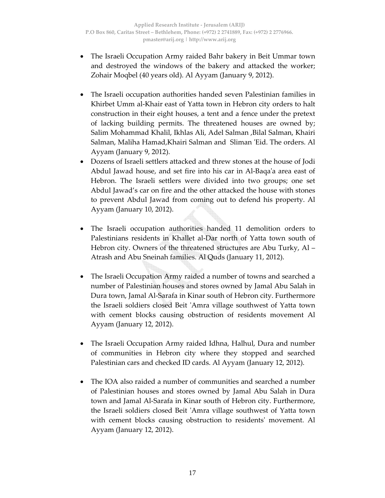- The Israeli Occupation Army raided Bahr bakery in Beit Ummar town and destroyed the windows of the bakery and attacked the worker; Zohair Moqbel (40 years old). Al Ayyam (January 9, 2012).
- The Israeli occupation authorities handed seven Palestinian families in Khirbet Umm al‐Khair east of Yatta town in Hebron city orders to halt construction in their eight houses, a tent and a fence under the pretext of lacking building permits. The threatened houses are owned by; Salim Mohammad Khalil, Ikhlas Ali, Adel Salman, Bilal Salman, Khairi Salman, Maliha Hamad,Khairi Salman and Sliman ʹEid. The orders. Al Ayyam (January 9, 2012).
- Dozens of Israeli settlers attacked and threw stones at the house of Jodi Abdul Jawad house, and set fire into his car in Al‐Baqaʹa area east of Hebron. The Israeli settlers were divided into two groups; one set Abdul Jawad's car on fire and the other attacked the house with stones to prevent Abdul Jawad from coming out to defend his property. Al Ayyam (January 10, 2012).
- The Israeli occupation authorities handed 11 demolition orders to Palestinians residents in Khallet al‐Dar north of Yatta town south of Hebron city. Owners of the threatened structures are Abu Turky, Al – Atrash and Abu Sneinah families. Al Quds (January 11, 2012).
- The Israeli Occupation Army raided a number of towns and searched a number of Palestinian houses and stores owned by Jamal Abu Salah in Dura town, Jamal Al‐Sarafa in Kinar south of Hebron city. Furthermore the Israeli soldiers closed Beit ʹAmra village southwest of Yatta town with cement blocks causing obstruction of residents movement Al Ayyam (January 12, 2012).
- The Israeli Occupation Army raided Idhna, Halhul, Dura and number of communities in Hebron city where they stopped and searched Palestinian cars and checked ID cards. Al Ayyam (January 12, 2012).
- The IOA also raided a number of communities and searched a number of Palestinian houses and stores owned by Jamal Abu Salah in Dura town and Jamal Al‐Sarafa in Kinar south of Hebron city. Furthermore, the Israeli soldiers closed Beit ʹAmra village southwest of Yatta town with cement blocks causing obstruction to residents' movement. Al Ayyam (January 12, 2012).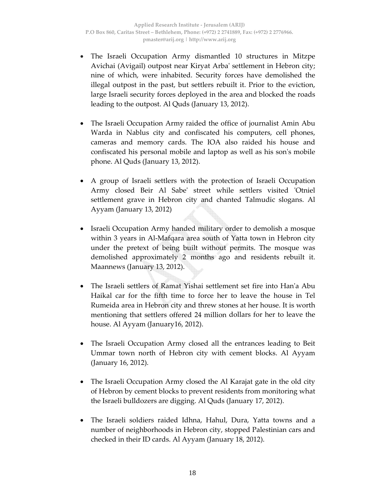- The Israeli Occupation Army dismantled 10 structures in Mitzpe Avichai (Avigail) outpost near Kiryat Arbaʹ settlement in Hebron city; nine of which, were inhabited. Security forces have demolished the illegal outpost in the past, but settlers rebuilt it. Prior to the eviction, large Israeli security forces deployed in the area and blocked the roads leading to the outpost. Al Quds (January 13, 2012).
- The Israeli Occupation Army raided the office of journalist Amin Abu Warda in Nablus city and confiscated his computers, cell phones, cameras and memory cards. The IOA also raided his house and confiscated his personal mobile and laptop as well as his sonʹs mobile phone. Al Quds (January 13, 2012).
- A group of Israeli settlers with the protection of Israeli Occupation Army closed Beir Al Sabe' street while settlers visited 'Otniel settlement grave in Hebron city and chanted Talmudic slogans. Al Ayyam (January 13, 2012)
- Israeli Occupation Army handed military order to demolish a mosque within 3 years in Al-Mafqara area south of Yatta town in Hebron city under the pretext of being built without permits. The mosque was demolished approximately 2 months ago and residents rebuilt it. Maannews (January 13, 2012).
- The Israeli settlers of Ramat Yishai settlement set fire into Han'a Abu Haikal car for the fifth time to force her to leave the house in Tel Rumeida area in Hebron city and threw stones at her house. It is worth mentioning that settlers offered 24 million dollars for her to leave the house. Al Ayyam (January16, 2012).
- The Israeli Occupation Army closed all the entrances leading to Beit Ummar town north of Hebron city with cement blocks. Al Ayyam (January 16, 2012).
- The Israeli Occupation Army closed the Al Karajat gate in the old city of Hebron by cement blocks to prevent residents from monitoring what the Israeli bulldozers are digging. Al Quds (January 17, 2012).
- The Israeli soldiers raided Idhna, Hahul, Dura, Yatta towns and a number of neighborhoods in Hebron city, stopped Palestinian cars and checked in their ID cards. Al Ayyam (January 18, 2012).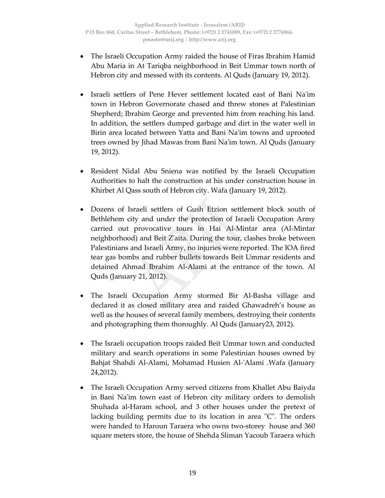- The Israeli Occupation Army raided the house of Firas Ibrahim Hamid Abu Maria in At Tariqba neighborhood in Beit Ummar town north of Hebron city and messed with its contents. Al Quds (January 19, 2012).
- Israeli settlers of Pene Hever settlement located east of Bani Na'im town in Hebron Governorate chased and threw stones at Palestinian Shepherd; Ibrahim George and prevented him from reaching his land. In addition, the settlers dumped garbage and dirt in the water well in Birin area located between Yatta and Bani Na'im towns and uprooted trees owned by Jihad Mawas from Bani Naʹim town. Al Quds (January 19, 2012).
- Resident Nidal Abu Sniena was notified by the Israeli Occupation Authorities to halt the construction at his under construction house in Khirbet Al Qass south of Hebron city. Wafa (January 19, 2012).
- Dozens of Israeli settlers of Gush Etzion settlement block south of Bethlehem city and under the protection of Israeli Occupation Army carried out provocative tours in Hai Al‐Mintar area (Al‐Mintar neighborhood) and Beit Zʹaita. During the tour, clashes broke between Palestinians and Israeli Army, no injuries were reported. The IOA fired tear gas bombs and rubber bullets towards Beit Ummar residents and detained Ahmad Ibrahim Al‐Alami at the entrance of the town. Al Quds (January 21, 2012).
- The Israeli Occupation Army stormed Bir Al-Basha village and declared it as closed military area and raided Ghawadreh's house as well as the houses of several family members, destroying their contents and photographing them thoroughly. Al Quds (January23, 2012).
- The Israeli occupation troops raided Beit Ummar town and conducted military and search operations in some Palestinian houses owned by Bahjat Shahdi Al‐Alami, Mohamad Husien Al‐ʹAlami .Wafa (January 24,2012).
- The Israeli Occupation Army served citizens from Khallet Abu Baiyda in Bani Na'im town east of Hebron city military orders to demolish Shuhada al‐Haram school, and 3 other houses under the pretext of lacking building permits due to its location in area "C". The orders were handed to Haroun Taraera who owns two-storey house and 360 square meters store, the house of Shehda Sliman Yacoub Taraera which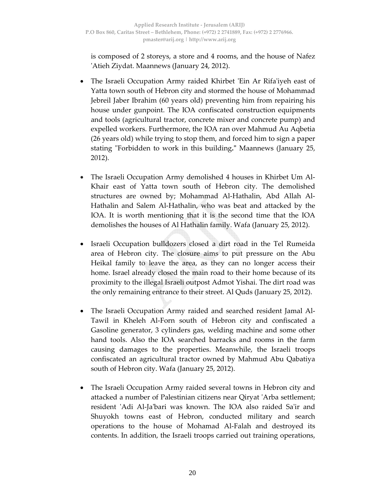is composed of 2 storeys, a store and 4 rooms, and the house of Nafez ʹAtieh Ziydat. Maannews (January 24, 2012).

- The Israeli Occupation Army raided Khirbet 'Ein Ar Rifa'iyeh east of Yatta town south of Hebron city and stormed the house of Mohammad Jebreil Jaber Ibrahim (60 years old) preventing him from repairing his house under gunpoint. The IOA confiscated construction equipments and tools (agricultural tractor, concrete mixer and concrete pump) and expelled workers. Furthermore, the IOA ran over Mahmud Au Aqbetia (26 years old) while trying to stop them, and forced him to sign a paper stating "Forbidden to work in this building." Maannews (January 25, 2012).
- The Israeli Occupation Army demolished 4 houses in Khirbet Um Al-Khair east of Yatta town south of Hebron city. The demolished structures are owned by; Mohammad Al‐Hathalin, Abd Allah Al‐ Hathalin and Salem Al‐Hathalin, who was beat and attacked by the IOA. It is worth mentioning that it is the second time that the IOA demolishes the houses of Al Hathalin family. Wafa (January 25, 2012).
- Israeli Occupation bulldozers closed a dirt road in the Tel Rumeida area of Hebron city. The closure aims to put pressure on the Abu Heikal family to leave the area, as they can no longer access their home. Israel already closed the main road to their home because of its proximity to the illegal Israeli outpost Admot Yishai. The dirt road was the only remaining entrance to their street. Al Quds (January 25, 2012).
- The Israeli Occupation Army raided and searched resident Jamal Al‐ Tawil in Kheleh Al‐Forn south of Hebron city and confiscated a Gasoline generator, 3 cylinders gas, welding machine and some other hand tools. Also the IOA searched barracks and rooms in the farm causing damages to the properties. Meanwhile, the Israeli troops confiscated an agricultural tractor owned by Mahmud Abu Qabatiya south of Hebron city. Wafa (January 25, 2012).
- The Israeli Occupation Army raided several towns in Hebron city and attacked a number of Palestinian citizens near Qiryat ʹArba settlement; resident ʹAdi Al‐Jaʹbari was known. The IOA also raided Saʹir and Shuyokh towns east of Hebron, conducted military and search operations to the house of Mohamad Al‐Falah and destroyed its contents. In addition, the Israeli troops carried out training operations,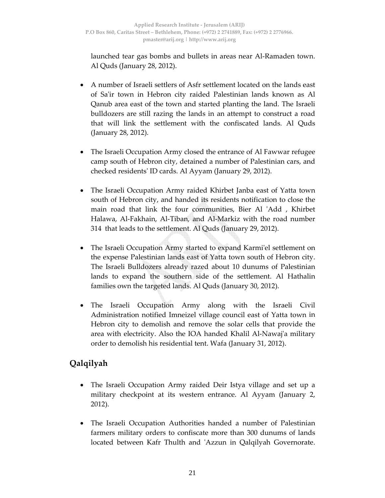launched tear gas bombs and bullets in areas near Al‐Ramaden town. Al Quds (January 28, 2012).

- A number of Israeli settlers of Asfr settlement located on the lands east of Saʹir town in Hebron city raided Palestinian lands known as Al Qanub area east of the town and started planting the land. The Israeli bulldozers are still razing the lands in an attempt to construct a road that will link the settlement with the confiscated lands. Al Quds (January 28, 2012).
- The Israeli Occupation Army closed the entrance of Al Fawwar refugee camp south of Hebron city, detained a number of Palestinian cars, and checked residentsʹ ID cards. Al Ayyam (January 29, 2012).
- The Israeli Occupation Army raided Khirbet Janba east of Yatta town south of Hebron city, and handed its residents notification to close the main road that link the four communities, Bier Al 'Add, Khirbet Halawa, Al‐Fakhain, Al‐Tiban, and Al‐Markiz with the road number 314 that leads to the settlement. Al Quds (January 29, 2012).
- The Israeli Occupation Army started to expand Karmi'el settlement on the expense Palestinian lands east of Yatta town south of Hebron city. The Israeli Bulldozers already razed about 10 dunums of Palestinian lands to expand the southern side of the settlement. Al Hathalin families own the targeted lands. Al Quds (January 30, 2012).
- The Israeli Occupation Army along with the Israeli Civil Administration notified Imneizel village council east of Yatta town in Hebron city to demolish and remove the solar cells that provide the area with electricity. Also the IOA handed Khalil Al‐Nawajʹa military order to demolish his residential tent. Wafa (January 31, 2012).

## **Qalqilyah**

- The Israeli Occupation Army raided Deir Istya village and set up a military checkpoint at its western entrance. Al Ayyam (January 2, 2012).
- The Israeli Occupation Authorities handed a number of Palestinian farmers military orders to confiscate more than 300 dunums of lands located between Kafr Thulth and ʹAzzun in Qalqilyah Governorate.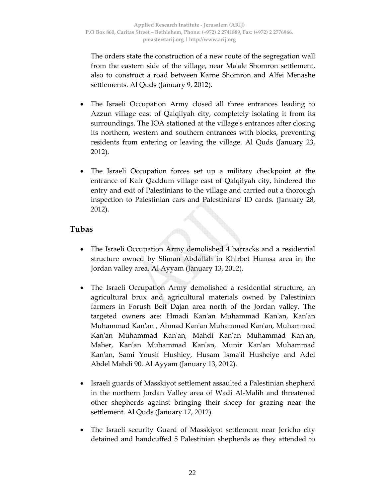The orders state the construction of a new route of the segregation wall from the eastern side of the village, near Maʹale Shomron settlement, also to construct a road between Karne Shomron and Alfei Menashe settlements. Al Quds (January 9, 2012).

- The Israeli Occupation Army closed all three entrances leading to Azzun village east of Qalqilyah city, completely isolating it from its surroundings. The IOA stationed at the villageʹs entrances after closing its northern, western and southern entrances with blocks, preventing residents from entering or leaving the village. Al Quds (January 23, 2012).
- The Israeli Occupation forces set up a military checkpoint at the entrance of Kafr Qaddum village east of Qalqilyah city, hindered the entry and exit of Palestinians to the village and carried out a thorough inspection to Palestinian cars and Palestiniansʹ ID cards. (January 28, 2012).

## **Tubas**

- The Israeli Occupation Army demolished 4 barracks and a residential structure owned by Sliman Abdallah in Khirbet Humsa area in the Jordan valley area. Al Ayyam (January 13, 2012).
- The Israeli Occupation Army demolished a residential structure, an agricultural brux and agricultural materials owned by Palestinian farmers in Forush Beit Dajan area north of the Jordan valley. The targeted owners are: Hmadi Kanʹan Muhammad Kanʹan, Kanʹan Muhammad Kanʹan , Ahmad Kanʹan Muhammad Kanʹan, Muhammad Kanʹan Muhammad Kanʹan, Mahdi Kanʹan Muhammad Kanʹan, Maher, Kanʹan Muhammad Kanʹan, Munir Kanʹan Muhammad Kanʹan, Sami Yousif Hushiey, Husam Ismaʹil Husheiye and Adel Abdel Mahdi 90. Al Ayyam (January 13, 2012).
- Israeli guards of Masskiyot settlement assaulted a Palestinian shepherd in the northern Jordan Valley area of Wadi Al‐Malih and threatened other shepherds against bringing their sheep for grazing near the settlement. Al Quds (January 17, 2012).
- The Israeli security Guard of Masskiyot settlement near Jericho city detained and handcuffed 5 Palestinian shepherds as they attended to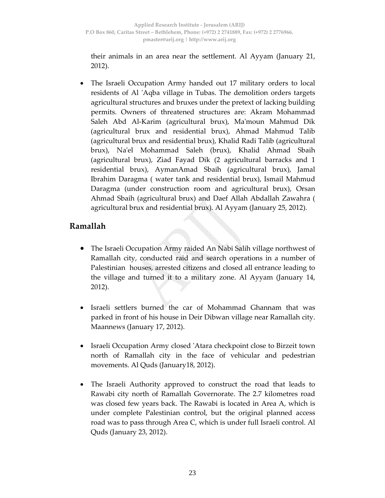their animals in an area near the settlement. Al Ayyam (January 21, 2012).

The Israeli Occupation Army handed out 17 military orders to local residents of Al 'Aqba village in Tubas. The demolition orders targets agricultural structures and bruxes under the pretext of lacking building permits. Owners of threatened structures are: Akram Mohammad Saleh Abd Al‐Karim (agricultural brux), Maʹmoun Mahmud Dik (agricultural brux and residential brux), Ahmad Mahmud Talib (agricultural brux and residential brux), Khalid Radi Talib (agricultural brux), Naʹel Mohammad Saleh (brux), Khalid Ahmad Sbaih (agricultural brux), Ziad Fayad Dik (2 agricultural barracks and 1 residential brux), AymanAmad Sbaih (agricultural brux), Jamal Ibrahim Daragma ( water tank and residential brux), Ismail Mahmud Daragma (under construction room and agricultural brux), Orsan Ahmad Sbaih (agricultural brux) and Daef Allah Abdallah Zawahra ( agricultural brux and residential brux). Al Ayyam (January 25, 2012).

## **Ramallah**

- The Israeli Occupation Army raided An Nabi Salih village northwest of Ramallah city, conducted raid and search operations in a number of Palestinian houses, arrested citizens and closed all entrance leading to the village and turned it to a military zone. Al Ayyam (January 14, 2012).
- Israeli settlers burned the car of Mohammad Ghannam that was parked in front of his house in Deir Dibwan village near Ramallah city. Maannews (January 17, 2012).
- Israeli Occupation Army closed 'Atara checkpoint close to Birzeit town north of Ramallah city in the face of vehicular and pedestrian movements. Al Quds (January18, 2012).
- The Israeli Authority approved to construct the road that leads to Rawabi city north of Ramallah Governorate. The 2.7 kilometres road was closed few years back. The Rawabi is located in Area A, which is under complete Palestinian control, but the original planned access road was to pass through Area C, which is under full Israeli control. Al Quds (January 23, 2012).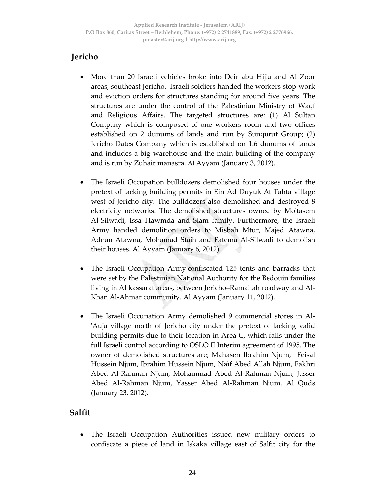# **Jericho**

- More than 20 Israeli vehicles broke into Deir abu Hijla and Al Zoor areas, southeast Jericho. Israeli soldiers handed the workers stop‐work and eviction orders for structures standing for around five years. The structures are under the control of the Palestinian Ministry of Waqf and Religious Affairs. The targeted structures are: (1) Al Sultan Company which is composed of one workers room and two offices established on 2 dunums of lands and run by Sunqurut Group; (2) Jericho Dates Company which is established on 1.6 dunums of lands and includes a big warehouse and the main building of the company and is run by Zuhair manasra. Al Ayyam (January 3, 2012).
- The Israeli Occupation bulldozers demolished four houses under the pretext of lacking building permits in Ein Ad Duyuk At Tahta village west of Jericho city. The bulldozers also demolished and destroyed 8 electricity networks. The demolished structures owned by Moʹtasem Al‐Silwadi, Issa Hawmda and Siam family. Furthermore, the Israeli Army handed demolition orders to Misbah Mtur, Majed Atawna, Adnan Atawna, Mohamad Staih and Fatema Al‐Silwadi to demolish their houses. Al Ayyam (January 6, 2012).
- The Israeli Occupation Army confiscated 125 tents and barracks that were set by the Palestinian National Authority for the Bedouin families living in Al kassarat areas, between Jericho–Ramallah roadway and Al‐ Khan Al‐Ahmar community. Al Ayyam (January 11, 2012).
- The Israeli Occupation Army demolished 9 commercial stores in Al‐ ʹAuja village north of Jericho city under the pretext of lacking valid building permits due to their location in Area C, which falls under the full Israeli control according to OSLO II Interim agreement of 1995. The owner of demolished structures are; Mahasen Ibrahim Njum, Feisal Hussein Njum, Ibrahim Hussein Njum, Naïf Abed Allah Njum, Fakhri Abed Al‐Rahman Njum, Mohammad Abed Al‐Rahman Njum, Jasser Abed Al‐Rahman Njum, Yasser Abed Al‐Rahman Njum. Al Quds (January 23, 2012).

## **Salfit**

• The Israeli Occupation Authorities issued new military orders to confiscate a piece of land in Iskaka village east of Salfit city for the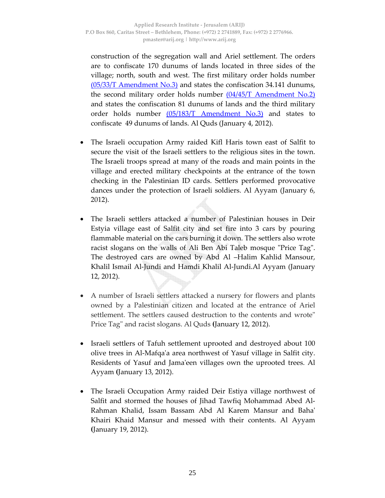construction of the segregation wall and Ariel settlement. The orders are to confiscate 170 dunums of lands located in three sides of the village; north, south and west. The first military order holds number (05/33/T Amendment No.3) and states the confiscation 34.141 dunums, the second military order holds number  $(04/45/T \text{ Amendment No.2})$ and states the confiscation 81 dunums of lands and the third military order holds number (05/183/T Amendment No.3) and states to confiscate 49 dunums of lands. Al Quds (January 4, 2012).

- The Israeli occupation Army raided Kifl Haris town east of Salfit to secure the visit of the Israeli settlers to the religious sites in the town. The Israeli troops spread at many of the roads and main points in the village and erected military checkpoints at the entrance of the town checking in the Palestinian ID cards. Settlers performed provocative dances under the protection of Israeli soldiers. Al Ayyam (January 6, 2012).
- The Israeli settlers attacked a number of Palestinian houses in Deir Estyia village east of Salfit city and set fire into 3 cars by pouring flammable material on the cars burning it down. The settlers also wrote racist slogans on the walls of Ali Ben Abi Taleb mosque "Price Tag". The destroyed cars are owned by Abd Al –Halim Kahlid Mansour, Khalil Ismail Al‐Jundi and Hamdi Khalil Al‐Jundi.Al Ayyam (January 12, 2012).
- A number of Israeli settlers attacked a nursery for flowers and plants owned by a Palestinian citizen and located at the entrance of Ariel settlement. The settlers caused destruction to the contents and wrote" Price Tagʺ and racist slogans. Al Quds **(**January 12, 2012).
- Israeli settlers of Tafuh settlement uprooted and destroyed about 100 olive trees in Al‐Mafqaʹa area northwest of Yasuf village in Salfit city. Residents of Yasuf and Jamaʹeen villages own the uprooted trees. Al Ayyam **(**January 13, 2012).
- The Israeli Occupation Army raided Deir Estiya village northwest of Salfit and stormed the houses of Jihad Tawfiq Mohammad Abed Al‐ Rahman Khalid, Issam Bassam Abd Al Karem Mansur and Bahaʹ Khairi Khaid Mansur and messed with their contents. Al Ayyam **(**January 19, 2012).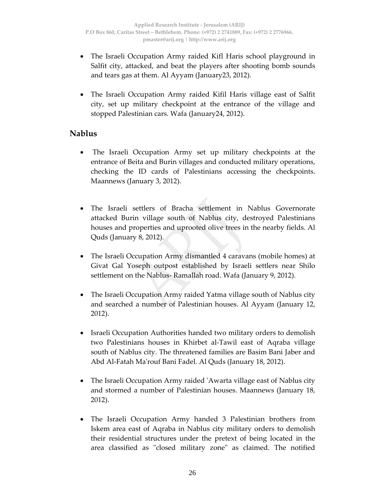- The Israeli Occupation Army raided Kifl Haris school playground in Salfit city, attacked, and beat the players after shooting bomb sounds and tears gas at them. Al Ayyam (January23, 2012).
- The Israeli Occupation Army raided Kifil Haris village east of Salfit city, set up military checkpoint at the entrance of the village and stopped Palestinian cars. Wafa (January24, 2012).

## **Nablus**

- The Israeli Occupation Army set up military checkpoints at the entrance of Beita and Burin villages and conducted military operations, checking the ID cards of Palestinians accessing the checkpoints. Maannews (January 3, 2012).
- The Israeli settlers of Bracha settlement in Nablus Governorate attacked Burin village south of Nablus city, destroyed Palestinians houses and properties and uprooted olive trees in the nearby fields. Al Quds (January 8, 2012).
- The Israeli Occupation Army dismantled 4 caravans (mobile homes) at Givat Gal Yoseph outpost established by Israeli settlers near Shilo settlement on the Nablus‐ Ramallah road. Wafa (January 9, 2012).
- The Israeli Occupation Army raided Yatma village south of Nablus city and searched a number of Palestinian houses. Al Ayyam (January 12, 2012).
- Israeli Occupation Authorities handed two military orders to demolish two Palestinians houses in Khirbet al‐Tawil east of Aqraba village south of Nablus city. The threatened families are Basim Bani Jaber and Abd Al‐Fatah Maʹrouf Bani Fadel. Al Quds (January 18, 2012).
- The Israeli Occupation Army raided 'Awarta village east of Nablus city and stormed a number of Palestinian houses. Maannews (January 18, 2012).
- The Israeli Occupation Army handed 3 Palestinian brothers from Iskem area east of Aqraba in Nablus city military orders to demolish their residential structures under the pretext of being located in the area classified as "closed military zone" as claimed. The notified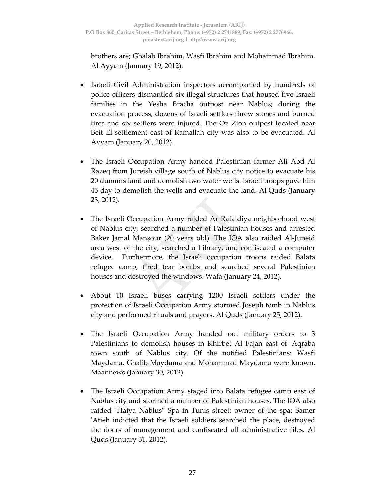brothers are; Ghalab Ibrahim, Wasfi Ibrahim and Mohammad Ibrahim. Al Ayyam (January 19, 2012).

- Israeli Civil Administration inspectors accompanied by hundreds of police officers dismantled six illegal structures that housed five Israeli families in the Yesha Bracha outpost near Nablus; during the evacuation process, dozens of Israeli settlers threw stones and burned tires and six settlers were injured. The Oz Zion outpost located near Beit El settlement east of Ramallah city was also to be evacuated. Al Ayyam (January 20, 2012).
- The Israeli Occupation Army handed Palestinian farmer Ali Abd Al Razeq from Jureish village south of Nablus city notice to evacuate his 20 dunums land and demolish two water wells. Israeli troops gave him 45 day to demolish the wells and evacuate the land. Al Quds (January 23, 2012).
- The Israeli Occupation Army raided Ar Rafaidiya neighborhood west of Nablus city, searched a number of Palestinian houses and arrested Baker Jamal Mansour (20 years old). The IOA also raided Al‐Juneid area west of the city, searched a Library, and confiscated a computer device. Furthermore, the Israeli occupation troops raided Balata refugee camp, fired tear bombs and searched several Palestinian houses and destroyed the windows. Wafa (January 24, 2012).
- About 10 Israeli buses carrying 1200 Israeli settlers under the protection of Israeli Occupation Army stormed Joseph tomb in Nablus city and performed rituals and prayers. Al Quds (January 25, 2012).
- The Israeli Occupation Army handed out military orders to 3 Palestinians to demolish houses in Khirbet Al Fajan east of 'Aqraba town south of Nablus city. Of the notified Palestinians: Wasfi Maydama, Ghalib Maydama and Mohammad Maydama were known. Maannews (January 30, 2012).
- The Israeli Occupation Army staged into Balata refugee camp east of Nablus city and stormed a number of Palestinian houses. The IOA also raided "Haiya Nablus" Spa in Tunis street; owner of the spa; Samer ʹAtieh indicted that the Israeli soldiers searched the place, destroyed the doors of management and confiscated all administrative files. Al Quds (January 31, 2012).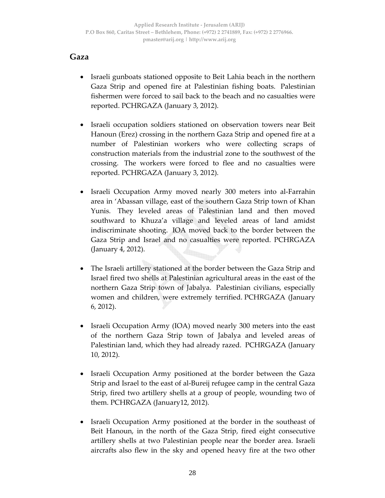### **Gaza**

- Israeli gunboats stationed opposite to Beit Lahia beach in the northern Gaza Strip and opened fire at Palestinian fishing boats. Palestinian fishermen were forced to sail back to the beach and no casualties were reported. PCHRGAZA (January 3, 2012).
- Israeli occupation soldiers stationed on observation towers near Beit Hanoun (Erez) crossing in the northern Gaza Strip and opened fire at a number of Palestinian workers who were collecting scraps of construction materials from the industrial zone to the southwest of the crossing. The workers were forced to flee and no casualties were reported. PCHRGAZA (January 3, 2012).
- Israeli Occupation Army moved nearly 300 meters into al‐Farrahin area in 'Abassan village, east of the southern Gaza Strip town of Khan Yunis. They leveled areas of Palestinian land and then moved southward to Khuza'a village and leveled areas of land amidst indiscriminate shooting. IOA moved back to the border between the Gaza Strip and Israel and no casualties were reported. PCHRGAZA (January 4, 2012).
- The Israeli artillery stationed at the border between the Gaza Strip and Israel fired two shells at Palestinian agricultural areas in the east of the northern Gaza Strip town of Jabalya. Palestinian civilians, especially women and children, were extremely terrified. PCHRGAZA (January 6, 2012).
- Israeli Occupation Army (IOA) moved nearly 300 meters into the east of the northern Gaza Strip town of Jabalya and leveled areas of Palestinian land, which they had already razed. PCHRGAZA (January 10, 2012).
- Israeli Occupation Army positioned at the border between the Gaza Strip and Israel to the east of al‐Bureij refugee camp in the central Gaza Strip, fired two artillery shells at a group of people, wounding two of them. PCHRGAZA (January12, 2012).
- Israeli Occupation Army positioned at the border in the southeast of Beit Hanoun, in the north of the Gaza Strip, fired eight consecutive artillery shells at two Palestinian people near the border area. Israeli aircrafts also flew in the sky and opened heavy fire at the two other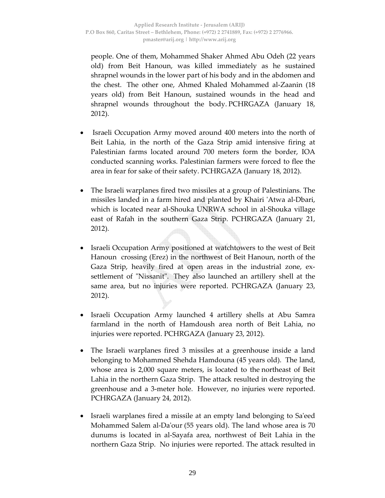people. One of them, Mohammed Shaker Ahmed Abu Odeh (22 years old) from Beit Hanoun, was killed immediately as he sustained shrapnel wounds in the lower part of his body and in the abdomen and the chest. The other one, Ahmed Khaled Mohammed al‐Zaanin (18 years old) from Beit Hanoun, sustained wounds in the head and shrapnel wounds throughout the body. PCHRGAZA (January 18, 2012).

- Israeli Occupation Army moved around 400 meters into the north of Beit Lahia, in the north of the Gaza Strip amid intensive firing at Palestinian farms located around 700 meters form the border, IOA conducted scanning works. Palestinian farmers were forced to flee the area in fear for sake of their safety. PCHRGAZA (January 18, 2012).
- The Israeli warplanes fired two missiles at a group of Palestinians. The missiles landed in a farm hired and planted by Khairi ʹAtwa al‐Dbari, which is located near al‐Shouka UNRWA school in al‐Shouka village east of Rafah in the southern Gaza Strip. PCHRGAZA (January 21, 2012).
- Israeli Occupation Army positioned at watchtowers to the west of Beit Hanoun crossing (Erez) in the northwest of Beit Hanoun, north of the Gaza Strip, heavily fired at open areas in the industrial zone, ex‐ settlement of "Nissanit". They also launched an artillery shell at the same area, but no injuries were reported. PCHRGAZA (January 23, 2012).
- Israeli Occupation Army launched 4 artillery shells at Abu Samra farmland in the north of Hamdoush area north of Beit Lahia, no injuries were reported. PCHRGAZA (January 23, 2012).
- The Israeli warplanes fired 3 missiles at a greenhouse inside a land belonging to Mohammed Shehda Hamdouna (45 years old). The land, whose area is 2,000 square meters, is located to the northeast of Beit Lahia in the northern Gaza Strip. The attack resulted in destroying the greenhouse and a 3‐meter hole. However, no injuries were reported. PCHRGAZA (January 24, 2012).
- Israeli warplanes fired a missile at an empty land belonging to Sa'eed Mohammed Salem al‐Daʹour (55 years old). The land whose area is 70 dunums is located in al‐Sayafa area, northwest of Beit Lahia in the northern Gaza Strip. No injuries were reported. The attack resulted in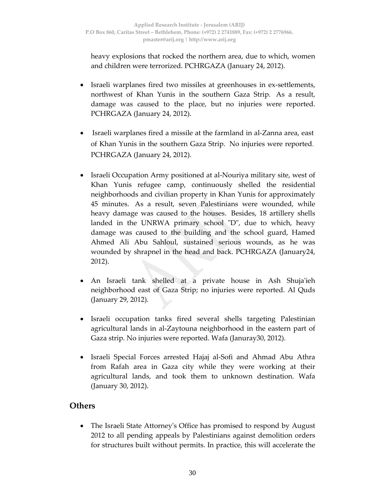heavy explosions that rocked the northern area, due to which, women and children were terrorized. PCHRGAZA (January 24, 2012).

- Israeli warplanes fired two missiles at greenhouses in ex‐settlements, northwest of Khan Yunis in the southern Gaza Strip. As a result, damage was caused to the place, but no injuries were reported. PCHRGAZA (January 24, 2012).
- Israeli warplanes fired a missile at the farmland in al‐Zanna area, east of Khan Yunis in the southern Gaza Strip. No injuries were reported. PCHRGAZA (January 24, 2012).
- Israeli Occupation Army positioned at al-Nouriya military site, west of Khan Yunis refugee camp, continuously shelled the residential neighborhoods and civilian property in Khan Yunis for approximately 45 minutes. As a result, seven Palestinians were wounded, while heavy damage was caused to the houses. Besides, 18 artillery shells landed in the UNRWA primary school  $\mathbb{D}^n$ , due to which, heavy damage was caused to the building and the school guard, Hamed Ahmed Ali Abu Sahloul, sustained serious wounds, as he was wounded by shrapnel in the head and back. PCHRGAZA (January24, 2012).
- An Israeli tank shelled at a private house in Ash Shuja'ieh neighborhood east of Gaza Strip; no injuries were reported. Al Quds (January 29, 2012).
- Israeli occupation tanks fired several shells targeting Palestinian agricultural lands in al‐Zaytouna neighborhood in the eastern part of Gaza strip. No injuries were reported. Wafa (Januray30, 2012).
- Israeli Special Forces arrested Hajaj al-Sofi and Ahmad Abu Athra from Rafah area in Gaza city while they were working at their agricultural lands, and took them to unknown destination. Wafa (January 30, 2012).

## **Others**

• The Israeli State Attorneyʹs Office has promised to respond by August 2012 to all pending appeals by Palestinians against demolition orders for structures built without permits. In practice, this will accelerate the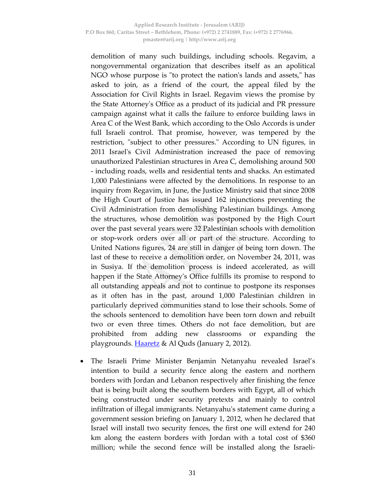demolition of many such buildings, including schools. Regavim, a nongovernmental organization that describes itself as an apolitical NGO whose purpose is "to protect the nation's lands and assets," has asked to join, as a friend of the court, the appeal filed by the Association for Civil Rights in Israel. Regavim views the promise by the State Attorneyʹs Office as a product of its judicial and PR pressure campaign against what it calls the failure to enforce building laws in Area C of the West Bank, which according to the Oslo Accords is under full Israeli control. That promise, however, was tempered by the restriction, "subject to other pressures." According to UN figures, in 2011 Israel's Civil Administration increased the pace of removing unauthorized Palestinian structures in Area C, demolishing around 500 ‐ including roads, wells and residential tents and shacks. An estimated 1,000 Palestinians were affected by the demolitions. In response to an inquiry from Regavim, in June, the Justice Ministry said that since 2008 the High Court of Justice has issued 162 injunctions preventing the Civil Administration from demolishing Palestinian buildings. Among the structures, whose demolition was postponed by the High Court over the past several years were 32 Palestinian schools with demolition or stop‐work orders over all or part of the structure. According to United Nations figures, 24 are still in danger of being torn down. The last of these to receive a demolition order, on November 24, 2011, was in Susiya. If the demolition process is indeed accelerated, as will happen if the State Attorneyʹs Office fulfills its promise to respond to all outstanding appeals and not to continue to postpone its responses as it often has in the past, around 1,000 Palestinian children in particularly deprived communities stand to lose their schools. Some of the schools sentenced to demolition have been torn down and rebuilt two or even three times. Others do not face demolition, but are prohibited from adding new classrooms or expanding the playgrounds. **Haaretz** & Al Quds (January 2, 2012).

• The Israeli Prime Minister Benjamin Netanyahu revealed Israel's intention to build a security fence along the eastern and northern borders with Jordan and Lebanon respectively after finishing the fence that is being built along the southern borders with Egypt, all of which being constructed under security pretexts and mainly to control infiltration of illegal immigrants. Netanyahuʹs statement came during a government session briefing on January 1, 2012, when he declared that Israel will install two security fences, the first one will extend for 240 km along the eastern borders with Jordan with a total cost of \$360 million; while the second fence will be installed along the Israeli‐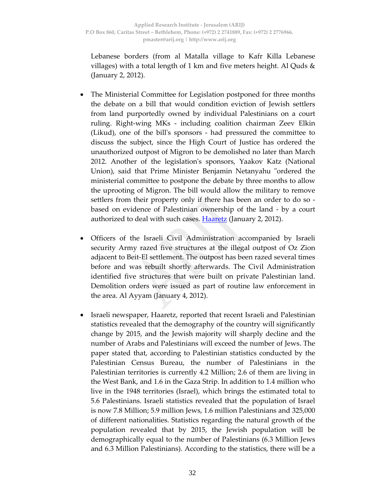Lebanese borders (from al Matalla village to Kafr Killa Lebanese villages) with a total length of 1 km and five meters height. Al Quds  $\&$ (January 2, 2012).

- The Ministerial Committee for Legislation postponed for three months the debate on a bill that would condition eviction of Jewish settlers from land purportedly owned by individual Palestinians on a court ruling. Right‐wing MKs ‐ including coalition chairman Zeev Elkin (Likud), one of the billʹs sponsors ‐ had pressured the committee to discuss the subject, since the High Court of Justice has ordered the unauthorized outpost of Migron to be demolished no later than March 2012. Another of the legislationʹs sponsors, Yaakov Katz (National Union), said that Prime Minister Benjamin Netanyahu "ordered the ministerial committee to postpone the debate by three months to allow the uprooting of Migron. The bill would allow the military to remove settlers from their property only if there has been an order to do so ‐ based on evidence of Palestinian ownership of the land ‐ by a court authorized to deal with such cases. Haaretz (January 2, 2012).
- Officers of the Israeli Civil Administration accompanied by Israeli security Army razed five structures at the illegal outpost of Oz Zion adjacent to Beit‐El settlement. The outpost has been razed several times before and was rebuilt shortly afterwards. The Civil Administration identified five structures that were built on private Palestinian land. Demolition orders were issued as part of routine law enforcement in the area. Al Ayyam (January 4, 2012).
- Israeli newspaper, Haaretz, reported that recent Israeli and Palestinian statistics revealed that the demography of the country will significantly change by 2015, and the Jewish majority will sharply decline and the number of Arabs and Palestinians will exceed the number of Jews. The paper stated that, according to Palestinian statistics conducted by the Palestinian Census Bureau, the number of Palestinians in the Palestinian territories is currently 4.2 Million; 2.6 of them are living in the West Bank, and 1.6 in the Gaza Strip. In addition to 1.4 million who live in the 1948 territories (Israel), which brings the estimated total to 5.6 Palestinians. Israeli statistics revealed that the population of Israel is now 7.8 Million; 5.9 million Jews, 1.6 million Palestinians and 325,000 of different nationalities. Statistics regarding the natural growth of the population revealed that by 2015, the Jewish population will be demographically equal to the number of Palestinians (6.3 Million Jews and 6.3 Million Palestinians). According to the statistics, there will be a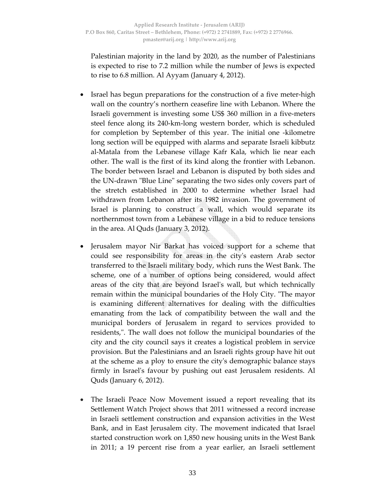Palestinian majority in the land by 2020, as the number of Palestinians is expected to rise to 7.2 million while the number of Jews is expected to rise to 6.8 million. Al Ayyam (January 4, 2012).

- Israel has begun preparations for the construction of a five meter-high wall on the country's northern ceasefire line with Lebanon. Where the Israeli government is investing some US\$ 360 million in a five-meters steel fence along its 240‐km‐long western border, which is scheduled for completion by September of this year. The initial one ‐kilometre long section will be equipped with alarms and separate Israeli kibbutz al‐Matala from the Lebanese village Kafr Kala, which lie near each other. The wall is the first of its kind along the frontier with Lebanon. The border between Israel and Lebanon is disputed by both sides and the UN-drawn "Blue Line" separating the two sides only covers part of the stretch established in 2000 to determine whether Israel had withdrawn from Lebanon after its 1982 invasion. The government of Israel is planning to construct a wall, which would separate its northernmost town from a Lebanese village in a bid to reduce tensions in the area. Al Quds (January 3, 2012).
- Jerusalem mayor Nir Barkat has voiced support for a scheme that could see responsibility for areas in the cityʹs eastern Arab sector transferred to the Israeli military body, which runs the West Bank. The scheme, one of a number of options being considered, would affect areas of the city that are beyond Israelʹs wall, but which technically remain within the municipal boundaries of the Holy City. "The mayor is examining different alternatives for dealing with the difficulties emanating from the lack of compatibility between the wall and the municipal borders of Jerusalem in regard to services provided to residents,". The wall does not follow the municipal boundaries of the city and the city council says it creates a logistical problem in service provision. But the Palestinians and an Israeli rights group have hit out at the scheme as a ploy to ensure the cityʹs demographic balance stays firmly in Israelʹs favour by pushing out east Jerusalem residents. Al Quds (January 6, 2012).
- The Israeli Peace Now Movement issued a report revealing that its Settlement Watch Project shows that 2011 witnessed a record increase in Israeli settlement construction and expansion activities in the West Bank, and in East Jerusalem city. The movement indicated that Israel started construction work on 1,850 new housing units in the West Bank in 2011; a 19 percent rise from a year earlier, an Israeli settlement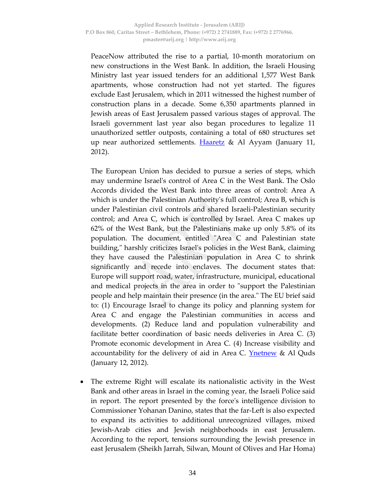PeaceNow attributed the rise to a partial, 10‐month moratorium on new constructions in the West Bank. In addition, the Israeli Housing Ministry last year issued tenders for an additional 1,577 West Bank apartments, whose construction had not yet started. The figures exclude East Jerusalem, which in 2011 witnessed the highest number of construction plans in a decade. Some 6,350 apartments planned in Jewish areas of East Jerusalem passed various stages of approval. The Israeli government last year also began procedures to legalize 11 unauthorized settler outposts, containing a total of 680 structures set up near authorized settlements. Haaretz & Al Ayyam (January 11, 2012).

The European Union has decided to pursue a series of steps, which may undermine Israelʹs control of Area C in the West Bank. The Oslo Accords divided the West Bank into three areas of control: Area A which is under the Palestinian Authorityʹs full control; Area B, which is under Palestinian civil controls and shared Israeli‐Palestinian security control; and Area C, which is controlled by Israel. Area C makes up 62% of the West Bank, but the Palestinians make up only 5.8% of its population. The document, entitled "Area C and Palestinian state building,ʺ harshly criticizes Israelʹs policies in the West Bank, claiming they have caused the Palestinian population in Area C to shrink significantly and recede into enclaves. The document states that: Europe will support road, water, infrastructure, municipal, educational and medical projects in the area in order to "support the Palestinian people and help maintain their presence (in the area." The EU brief said to: (1) Encourage Israel to change its policy and planning system for Area C and engage the Palestinian communities in access and developments. (2) Reduce land and population vulnerability and facilitate better coordination of basic needs deliveries in Area C. (3) Promote economic development in Area C. (4) Increase visibility and accountability for the delivery of aid in Area C. <u>Ynetnew</u> & Al Quds (January 12, 2012).

The extreme Right will escalate its nationalistic activity in the West Bank and other areas in Israel in the coming year, the Israeli Police said in report. The report presented by the forceʹs intelligence division to Commissioner Yohanan Danino, states that the far‐Left is also expected to expand its activities to additional unrecognized villages, mixed Jewish‐Arab cities and Jewish neighborhoods in east Jerusalem. According to the report, tensions surrounding the Jewish presence in east Jerusalem (Sheikh Jarrah, Silwan, Mount of Olives and Har Homa)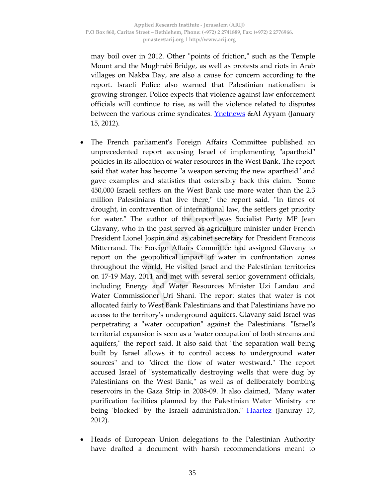may boil over in 2012. Other "points of friction," such as the Temple Mount and the Mughrabi Bridge, as well as protests and riots in Arab villages on Nakba Day, are also a cause for concern according to the report. Israeli Police also warned that Palestinian nationalism is growing stronger. Police expects that violence against law enforcement officials will continue to rise, as will the violence related to disputes between the various crime syndicates. **Ynetnews** &Al Ayyam (January 15, 2012).

- The French parliamentʹs Foreign Affairs Committee published an unprecedented report accusing Israel of implementing "apartheid" policies in its allocation of water resources in the West Bank. The report said that water has become "a weapon serving the new apartheid" and gave examples and statistics that ostensibly back this claim. "Some 450,000 Israeli settlers on the West Bank use more water than the 2.3 million Palestinians that live there," the report said. "In times of drought, in contravention of international law, the settlers get priority for water." The author of the report was Socialist Party MP Jean Glavany, who in the past served as agriculture minister under French President Lionel Jospin and as cabinet secretary for President Francois Mitterrand. The Foreign Affairs Committee had assigned Glavany to report on the geopolitical impact of water in confrontation zones throughout the world. He visited Israel and the Palestinian territories on 17‐19 May, 2011 and met with several senior government officials, including Energy and Water Resources Minister Uzi Landau and Water Commissioner Uri Shani. The report states that water is not allocated fairly to West Bank Palestinians and that Palestinians have no access to the territoryʹs underground aquifers. Glavany said Israel was perpetrating a "water occupation" against the Palestinians. "Israel's territorial expansion is seen as a ʹwater occupationʹ of both streams and aquifers," the report said. It also said that "the separation wall being built by Israel allows it to control access to underground water sources" and to "direct the flow of water westward." The report accused Israel of "systematically destroying wells that were dug by Palestinians on the West Bank," as well as of deliberately bombing reservoirs in the Gaza Strip in 2008–09. It also claimed, "Many water purification facilities planned by the Palestinian Water Ministry are being 'blocked' by the Israeli administration." **Haartez** (Januray 17, 2012).
- Heads of European Union delegations to the Palestinian Authority have drafted a document with harsh recommendations meant to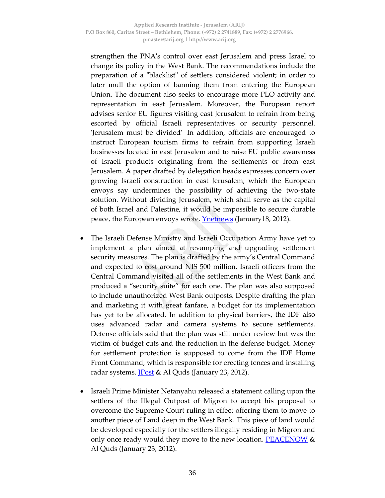strengthen the PNAʹs control over east Jerusalem and press Israel to change its policy in the West Bank. The recommendations include the preparation of a "blacklist" of settlers considered violent; in order to later mull the option of banning them from entering the European Union. The document also seeks to encourage more PLO activity and representation in east Jerusalem. Moreover, the European report advises senior EU figures visiting east Jerusalem to refrain from being escorted by official Israeli representatives or security personnel. ʹJerusalem must be dividedʹ In addition, officials are encouraged to instruct European tourism firms to refrain from supporting Israeli businesses located in east Jerusalem and to raise EU public awareness of Israeli products originating from the settlements or from east Jerusalem. A paper drafted by delegation heads expresses concern over growing Israeli construction in east Jerusalem, which the European envoys say undermines the possibility of achieving the two‐state solution. Without dividing Jerusalem, which shall serve as the capital of both Israel and Palestine, it would be impossible to secure durable peace, the European envoys wrote. **Ynetnews** (January18, 2012).

- The Israeli Defense Ministry and Israeli Occupation Army have yet to implement a plan aimed at revamping and upgrading settlement security measures. The plan is drafted by the army's Central Command and expected to cost around NIS 500 million. Israeli officers from the Central Command visited all of the settlements in the West Bank and produced a "security suite" for each one. The plan was also supposed to include unauthorized West Bank outposts. Despite drafting the plan and marketing it with great fanfare, a budget for its implementation has yet to be allocated. In addition to physical barriers, the IDF also uses advanced radar and camera systems to secure settlements. Defense officials said that the plan was still under review but was the victim of budget cuts and the reduction in the defense budget. Money for settlement protection is supposed to come from the IDF Home Front Command, which is responsible for erecting fences and installing radar systems.  $Post & A1 Quds (January 23, 2012).$ </u>
- Israeli Prime Minister Netanyahu released a statement calling upon the settlers of the Illegal Outpost of Migron to accept his proposal to overcome the Supreme Court ruling in effect offering them to move to another piece of Land deep in the West Bank. This piece of land would be developed especially for the settlers illegally residing in Migron and only once ready would they move to the new location. PEACENOW & Al Quds (January 23, 2012).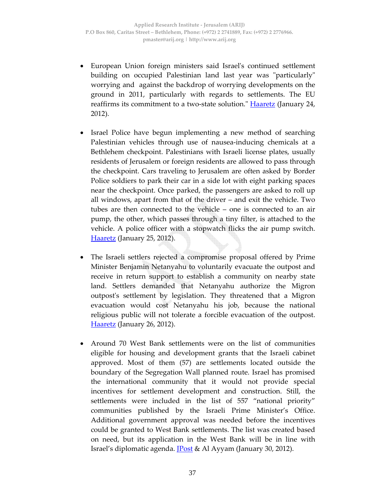- European Union foreign ministers said Israelʹs continued settlement building on occupied Palestinian land last year was "particularly" worrying and against the backdrop of worrying developments on the ground in 2011, particularly with regards to settlements. The EU reaffirms its commitment to a two-state solution." **Haaretz** (January 24, 2012).
- Israel Police have begun implementing a new method of searching Palestinian vehicles through use of nausea‐inducing chemicals at a Bethlehem checkpoint. Palestinians with Israeli license plates, usually residents of Jerusalem or foreign residents are allowed to pass through the checkpoint. Cars traveling to Jerusalem are often asked by Border Police soldiers to park their car in a side lot with eight parking spaces near the checkpoint. Once parked, the passengers are asked to roll up all windows, apart from that of the driver – and exit the vehicle. Two tubes are then connected to the vehicle – one is connected to an air pump, the other, which passes through a tiny filter, is attached to the vehicle. A police officer with a stopwatch flicks the air pump switch. **Haaretz** (January 25, 2012).
- The Israeli settlers rejected a compromise proposal offered by Prime Minister Benjamin Netanyahu to voluntarily evacuate the outpost and receive in return support to establish a community on nearby state land. Settlers demanded that Netanyahu authorize the Migron outpostʹs settlement by legislation. They threatened that a Migron evacuation would cost Netanyahu his job, because the national religious public will not tolerate a forcible evacuation of the outpost. Haaretz (January 26, 2012).
- Around 70 West Bank settlements were on the list of communities eligible for housing and development grants that the Israeli cabinet approved. Most of them (57) are settlements located outside the boundary of the Segregation Wall planned route. Israel has promised the international community that it would not provide special incentives for settlement development and construction. Still, the settlements were included in the list of 557 "national priority" communities published by the Israeli Prime Minister's Office. Additional government approval was needed before the incentives could be granted to West Bank settlements. The list was created based on need, but its application in the West Bank will be in line with Israel's diplomatic agenda. <u>JPost</u> & Al Ayyam (January 30, 2012).